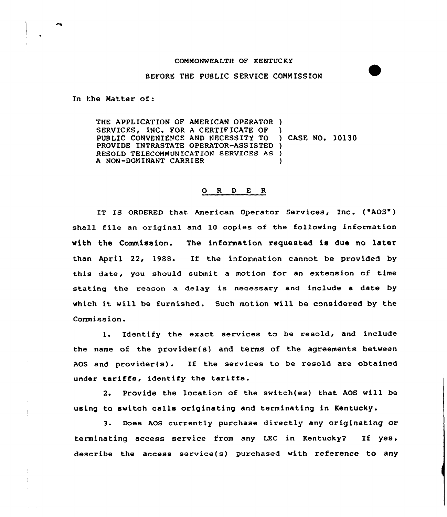## CGMNONWEALTH OF KENTUC KY

## BEFORE THE PUBLIC SERVICE CONNISSION

In the Natter of:

THE APPLICATION QF ANERICAN OPERATOR ) SERVICES, INC. FOR A CERTIFICATE OF PUBLIC CONVENIENCE AND NECESSITY TO PROVIDE INTRASTATE OPERATOR-ASS ISTED ) RESOLD TELECONNUNICATION SERVICES AS ) A NON-DOMINANT CARRIER ) ) CASE NO. 10130 )

## $ORD E R$

IT IS ORDERED that American Operator Services, Inc. ("AOS") shall file an original and 10 copies of the following information with the Commission. The information requested is due no later than April 22, 1988. If the information cannot be provided by this date, you should submit a motion for an extension cf time stating the reason a delay is necessary and include a date by which it will be furnished. Such motion will be considered by the Commission.

l. Identify the exact services to be resold, and include the name of the provider(s) and terms of the agreements between AOS and provider(s). If the services to be resold are obtained under tariffs, identify the tariffs.

2. Provide the location of the switch(es) that AOS will be using to switch calls originating and terminating in Kentucky.

3. Does AOS currently purchase directly any originating or terminating access service from any LEC in Kentucky? If yes, describe the access service(s) purchased with reference to any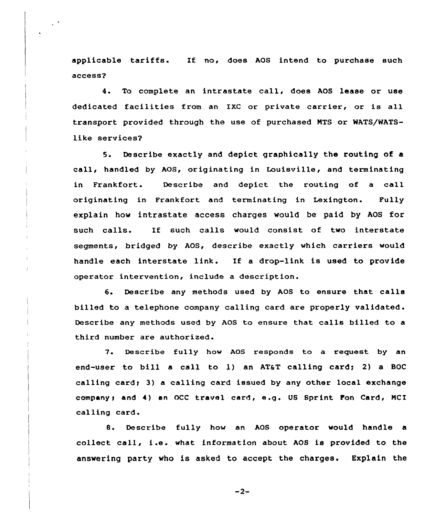applicable tariffs. If no, does AOS intend to purchase such access?

4. To complete an intrastate call, does AOS lease or use dedicated facilities from an IXC or private carrier, or is all transport provided through the use of purchased NTS or WATS/WATSlike services?

5. Describe exactly and depict graphically the routing of a call, handled by AOS, originating in Louisville, and terminating in Frankfort. Describe and depict the routing of a call originating in Frankfort and terminating in Lexington. Fully explain how intrastate access charges would be paid by AOS for such calls. If such calls would consist of two interstate segments, bridged by AOS, describe exactly which carriers would handle each interstate link. If a drop-link is used to provide operator intervention, include a description.

6. Describe any methods used by AOS to ensure that calls billed to a telephone company calling card are properly validated. Describe any methods used by AOS to ensure that calls billed to a third number are authorized.

7. Describe fully how AOS responds to a request by an end-user to bill a call to 1) an AT&T calling card; 2) a BOC calling card; 3) a calling card issued by any other local exchange company; and 4) an OCC travel card, e.g. US Sprint Fon Card, MCI calling card.

8. Describe fully how an AOS operator would handle a collect call, i.e. what information about AOS is provided to the answering party who is asked to accept the charges. Explain the

 $-2-$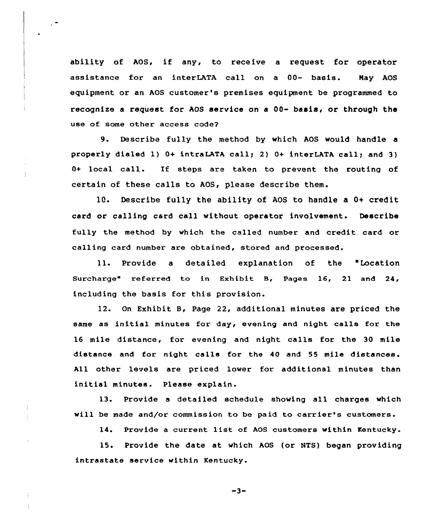ability of AOS, if any, to receive <sup>a</sup> request for operator assistance for an interLATA call on a 00- basis. Nay AOS equipment or an AOS customer's premises equipment be programmed to recognize a request for AOS service on a 00- basis, or through the use of some other access code?

Describe fully the method by which AOS would handle a properly dialed 1)  $0+$  intraLATA call; 2)  $0+$  interLATA call; and 3) 0+ local call. If steps are taken to prevent the routing of certain of these calls to AOS, please describe them.

10. Describe fully the ability of AOS to handle a 0+ credit card or calling card call without operator involvement. Describe fully the method by which the called number and credit card or calling card number are obtained, stored and processed.

ll. Provide <sup>a</sup> detailed explanation of the "Location Surcharge" referred to in Exhibit B, Pages 16, 21 and 24, including the basis for this provision.

12. On Exhibit B, Page 22, additional minutes are priced the same as initial minutes for day, evening and night calls for the 16 mile distance, for evening and night calls for the 30 mile distance and for night calls for the 40 and 55 mile distances. All other levels are priced lower for additional minutes than initial minutes. Please explain.

13. Provide <sup>a</sup> detailed schedule showing all charges which will be made and/or commission to be paid to carrier's customers.

14. Provide <sup>a</sup> current list of AOS customers within Kentucky.

15. Provide the date at which AOS (or NTS) began providing intrastate service within Kentucky.

 $-3-$